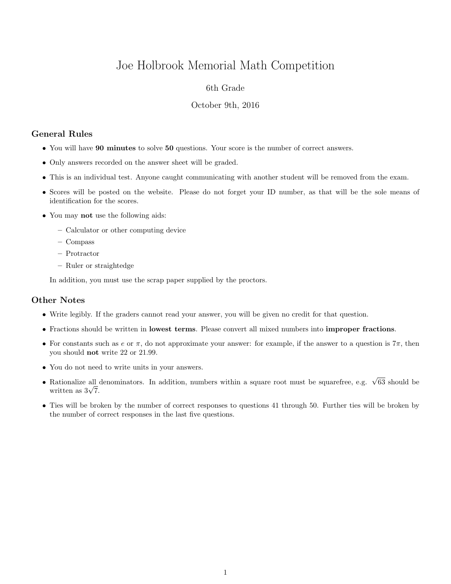# Joe Holbrook Memorial Math Competition

## 6th Grade

#### October 9th, 2016

# General Rules

- You will have 90 minutes to solve 50 questions. Your score is the number of correct answers.
- Only answers recorded on the answer sheet will be graded.
- This is an individual test. Anyone caught communicating with another student will be removed from the exam.
- Scores will be posted on the website. Please do not forget your ID number, as that will be the sole means of identification for the scores.
- You may not use the following aids:
	- Calculator or other computing device
	- Compass
	- Protractor
	- Ruler or straightedge

In addition, you must use the scrap paper supplied by the proctors.

## Other Notes

- Write legibly. If the graders cannot read your answer, you will be given no credit for that question.
- Fractions should be written in lowest terms. Please convert all mixed numbers into improper fractions.
- For constants such as e or  $\pi$ , do not approximate your answer: for example, if the answer to a question is  $7\pi$ , then you should not write 22 or 21.99.
- You do not need to write units in your answers.
- Rationalize all denominators. In addition, numbers within a square root must be squarefree, e.g.  $\sqrt{63}$  should be Rationalize all  $\frac{1}{\sqrt{7}}$ .
- Ties will be broken by the number of correct responses to questions 41 through 50. Further ties will be broken by the number of correct responses in the last five questions.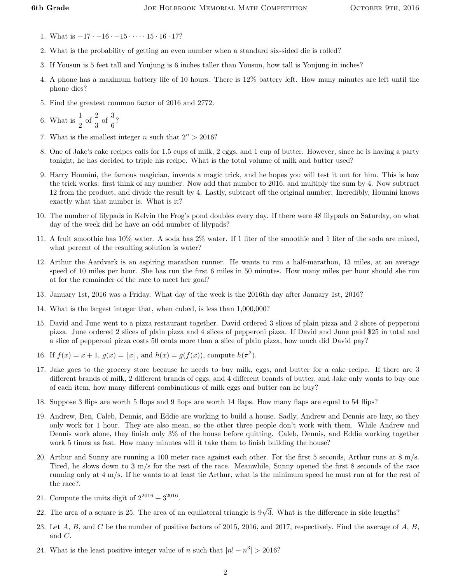- 1. What is  $-17 \cdot -16 \cdot -15 \cdot \cdots \cdot 15 \cdot 16 \cdot 17$ ?
- 2. What is the probability of getting an even number when a standard six-sided die is rolled?
- 3. If Yousun is 5 feet tall and Youjung is 6 inches taller than Yousun, how tall is Youjung in inches?
- 4. A phone has a maximum battery life of 10 hours. There is 12% battery left. How many minutes are left until the phone dies?
- 5. Find the greatest common factor of 2016 and 2772.

6. What is  $\frac{1}{2}$  of  $\frac{2}{3}$  of  $\frac{3}{6}$ ?

- 7. What is the smallest integer n such that  $2^n > 2016$ ?
- 8. One of Jake's cake recipes calls for 1.5 cups of milk, 2 eggs, and 1 cup of butter. However, since he is having a party tonight, he has decided to triple his recipe. What is the total volume of milk and butter used?
- 9. Harry Hounini, the famous magician, invents a magic trick, and he hopes you will test it out for him. This is how the trick works: first think of any number. Now add that number to 2016, and multiply the sum by 4. Now subtract 12 from the product, and divide the result by 4. Lastly, subtract off the original number. Incredibly, Hounini knows exactly what that number is. What is it?
- 10. The number of lilypads in Kelvin the Frog's pond doubles every day. If there were 48 lilypads on Saturday, on what day of the week did he have an odd number of lilypads?
- 11. A fruit smoothie has 10% water. A soda has 2% water. If 1 liter of the smoothie and 1 liter of the soda are mixed, what percent of the resulting solution is water?
- 12. Arthur the Aardvark is an aspiring marathon runner. He wants to run a half-marathon, 13 miles, at an average speed of 10 miles per hour. She has run the first 6 miles in 50 minutes. How many miles per hour should she run at for the remainder of the race to meet her goal?
- 13. January 1st, 2016 was a Friday. What day of the week is the 2016th day after January 1st, 2016?
- 14. What is the largest integer that, when cubed, is less than 1,000,000?
- 15. David and June went to a pizza restaurant together. David ordered 3 slices of plain pizza and 2 slices of pepperoni pizza. June ordered 2 slices of plain pizza and 4 slices of pepperoni pizza. If David and June paid \$25 in total and a slice of pepperoni pizza costs 50 cents more than a slice of plain pizza, how much did David pay?
- 16. If  $f(x) = x + 1$ ,  $g(x) = |x|$ , and  $h(x) = g(f(x))$ , compute  $h(\pi^2)$ .
- 17. Jake goes to the grocery store because he needs to buy milk, eggs, and butter for a cake recipe. If there are 3 different brands of milk, 2 different brands of eggs, and 4 different brands of butter, and Jake only wants to buy one of each item, how many different combinations of milk eggs and butter can he buy?
- 18. Suppose 3 flips are worth 5 flops and 9 flops are worth 14 flaps. How many flaps are equal to 54 flips?
- 19. Andrew, Ben, Caleb, Dennis, and Eddie are working to build a house. Sadly, Andrew and Dennis are lazy, so they only work for 1 hour. They are also mean, so the other three people don't work with them. While Andrew and Dennis work alone, they finish only 3% of the house before quitting. Caleb, Dennis, and Eddie working together work 5 times as fast. How many minutes will it take them to finish building the house?
- 20. Arthur and Sunny are running a 100 meter race against each other. For the first 5 seconds, Arthur runs at 8 m/s. Tired, he slows down to 3 m/s for the rest of the race. Meanwhile, Sunny opened the first 8 seconds of the race running only at 4 m/s. If he wants to at least tie Arthur, what is the minimum speed he must run at for the rest of the race?.
- 21. Compute the units digit of  $2^{2016} + 3^{2016}$ .
- 22. The area of a square is 25. The area of an equilateral triangle is  $9\sqrt{3}$ . What is the difference in side lengths?
- 23. Let  $A, B$ , and  $C$  be the number of positive factors of 2015, 2016, and 2017, respectively. Find the average of  $A, B$ , and C.
- 24. What is the least positive integer value of n such that  $|n! n^3| > 2016$ ?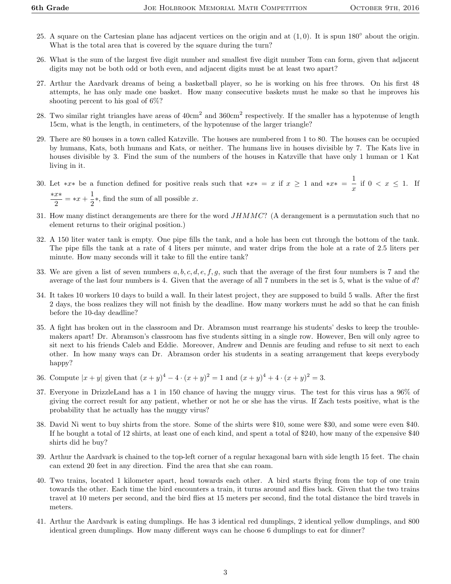- 25. A square on the Cartesian plane has adjacent vertices on the origin and at  $(1,0)$ . It is spun  $180^\circ$  about the origin. What is the total area that is covered by the square during the turn?
- 26. What is the sum of the largest five digit number and smallest five digit number Tom can form, given that adjacent digits may not be both odd or both even, and adjacent digits must be at least two apart?
- 27. Arthur the Aardvark dreams of being a basketball player, so he is working on his free throws. On his first 48 attempts, he has only made one basket. How many consecutive baskets must he make so that he improves his shooting percent to his goal of 6%?
- 28. Two similar right triangles have areas of  $40 \text{cm}^2$  and  $360 \text{cm}^2$  respectively. If the smaller has a hypotenuse of length 15cm, what is the length, in centimeters, of the hypotenuse of the larger triangle?
- 29. There are 80 houses in a town called Katzville. The houses are numbered from 1 to 80. The houses can be occupied by humans, Kats, both humans and Kats, or neither. The humans live in houses divisible by 7. The Kats live in houses divisible by 3. Find the sum of the numbers of the houses in Katzville that have only 1 human or 1 Kat living in it.
- 30. Let \*x\* be a function defined for positive reals such that \*x\* = x if  $x \geq 1$  and \*x\* =  $\frac{1}{x}$  $\frac{1}{x}$  if  $0 < x \le 1$ . If ∗x∗  $\frac{x*}{2} = *x + \frac{1}{2}$  $\frac{1}{2}$ \*, find the sum of all possible x.
- 31. How many distinct derangements are there for the word  $JHMMC$ ? (A derangement is a permutation such that no element returns to their original position.)
- 32. A 150 liter water tank is empty. One pipe fills the tank, and a hole has been cut through the bottom of the tank. The pipe fills the tank at a rate of 4 liters per minute, and water drips from the hole at a rate of 2.5 liters per minute. How many seconds will it take to fill the entire tank?
- 33. We are given a list of seven numbers  $a, b, c, d, e, f, g$ , such that the average of the first four numbers is 7 and the average of the last four numbers is 4. Given that the average of all 7 numbers in the set is 5, what is the value of d?
- 34. It takes 10 workers 10 days to build a wall. In their latest project, they are supposed to build 5 walls. After the first 2 days, the boss realizes they will not finish by the deadline. How many workers must he add so that he can finish before the 10-day deadline?
- 35. A fight has broken out in the classroom and Dr. Abramson must rearrange his students' desks to keep the troublemakers apart! Dr. Abramson's classroom has five students sitting in a single row. However, Ben will only agree to sit next to his friends Caleb and Eddie. Moreover, Andrew and Dennis are feuding and refuse to sit next to each other. In how many ways can Dr. Abramson order his students in a seating arrangement that keeps everybody happy?
- 36. Compute  $|x+y|$  given that  $(x+y)^4 4 \cdot (x+y)^2 = 1$  and  $(x+y)^4 + 4 \cdot (x+y)^2 = 3$ .
- 37. Everyone in DrizzleLand has a 1 in 150 chance of having the muggy virus. The test for this virus has a 96% of giving the correct result for any patient, whether or not he or she has the virus. If Zach tests positive, what is the probability that he actually has the muggy virus?
- 38. David Ni went to buy shirts from the store. Some of the shirts were \$10, some were \$30, and some were even \$40. If he bought a total of 12 shirts, at least one of each kind, and spent a total of \$240, how many of the expensive \$40 shirts did he buy?
- 39. Arthur the Aardvark is chained to the top-left corner of a regular hexagonal barn with side length 15 feet. The chain can extend 20 feet in any direction. Find the area that she can roam.
- 40. Two trains, located 1 kilometer apart, head towards each other. A bird starts flying from the top of one train towards the other. Each time the bird encounters a train, it turns around and flies back. Given that the two trains travel at 10 meters per second, and the bird flies at 15 meters per second, find the total distance the bird travels in meters.
- 41. Arthur the Aardvark is eating dumplings. He has 3 identical red dumplings, 2 identical yellow dumplings, and 800 identical green dumplings. How many different ways can he choose 6 dumplings to eat for dinner?